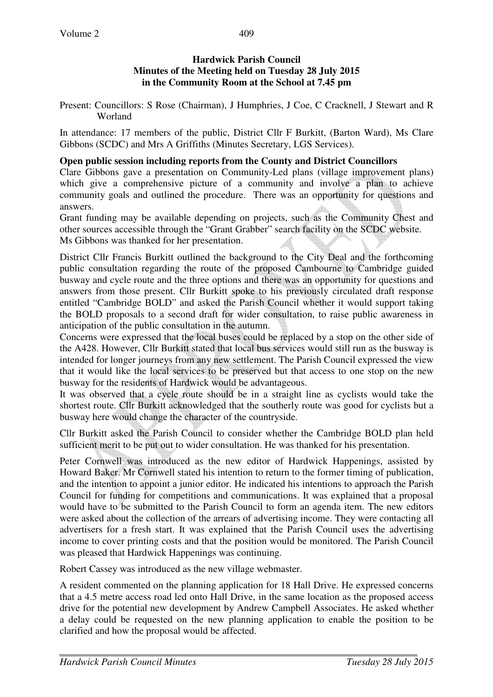#### **Hardwick Parish Council Minutes of the Meeting held on Tuesday 28 July 2015 in the Community Room at the School at 7.45 pm**

Present: Councillors: S Rose (Chairman), J Humphries, J Coe, C Cracknell, J Stewart and R Worland

In attendance: 17 members of the public, District Cllr F Burkitt, (Barton Ward), Ms Clare Gibbons (SCDC) and Mrs A Griffiths (Minutes Secretary, LGS Services).

#### **Open public session including reports from the County and District Councillors**

Clare Gibbons gave a presentation on Community-Led plans (village improvement plans) which give a comprehensive picture of a community and involve a plan to achieve community goals and outlined the procedure. There was an opportunity for questions and answers.

Grant funding may be available depending on projects, such as the Community Chest and other sources accessible through the "Grant Grabber" search facility on the SCDC website. Ms Gibbons was thanked for her presentation.

District Cllr Francis Burkitt outlined the background to the City Deal and the forthcoming public consultation regarding the route of the proposed Cambourne to Cambridge guided busway and cycle route and the three options and there was an opportunity for questions and answers from those present. Cllr Burkitt spoke to his previously circulated draft response entitled "Cambridge BOLD" and asked the Parish Council whether it would support taking the BOLD proposals to a second draft for wider consultation, to raise public awareness in anticipation of the public consultation in the autumn.

Concerns were expressed that the local buses could be replaced by a stop on the other side of the A428. However, Cllr Burkitt stated that local bus services would still run as the busway is intended for longer journeys from any new settlement. The Parish Council expressed the view that it would like the local services to be preserved but that access to one stop on the new busway for the residents of Hardwick would be advantageous.

It was observed that a cycle route should be in a straight line as cyclists would take the shortest route. Cllr Burkitt acknowledged that the southerly route was good for cyclists but a busway here would change the character of the countryside.

Cllr Burkitt asked the Parish Council to consider whether the Cambridge BOLD plan held sufficient merit to be put out to wider consultation. He was thanked for his presentation.

Peter Cornwell was introduced as the new editor of Hardwick Happenings, assisted by Howard Baker. Mr Cornwell stated his intention to return to the former timing of publication, and the intention to appoint a junior editor. He indicated his intentions to approach the Parish Council for funding for competitions and communications. It was explained that a proposal would have to be submitted to the Parish Council to form an agenda item. The new editors were asked about the collection of the arrears of advertising income. They were contacting all advertisers for a fresh start. It was explained that the Parish Council uses the advertising income to cover printing costs and that the position would be monitored. The Parish Council was pleased that Hardwick Happenings was continuing.

Robert Cassey was introduced as the new village webmaster.

A resident commented on the planning application for 18 Hall Drive. He expressed concerns that a 4.5 metre access road led onto Hall Drive, in the same location as the proposed access drive for the potential new development by Andrew Campbell Associates. He asked whether a delay could be requested on the new planning application to enable the position to be clarified and how the proposal would be affected.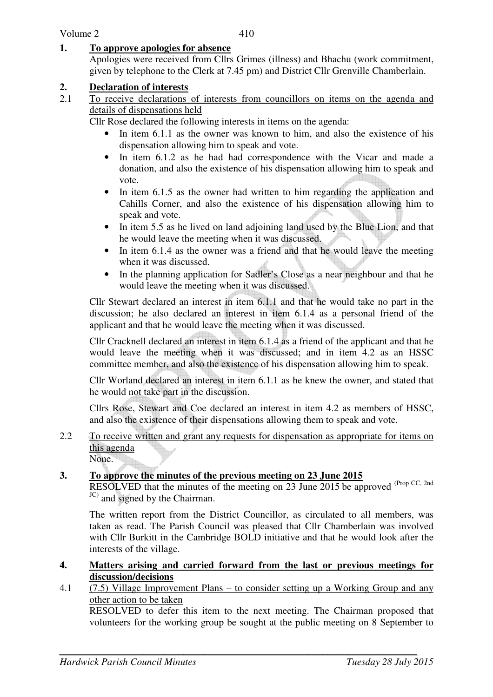#### **1. To approve apologies for absence**

Apologies were received from Cllrs Grimes (illness) and Bhachu (work commitment, given by telephone to the Clerk at 7.45 pm) and District Cllr Grenville Chamberlain.

#### **2. Declaration of interests**

2.1 To receive declarations of interests from councillors on items on the agenda and details of dispensations held

Cllr Rose declared the following interests in items on the agenda:

- In item 6.1.1 as the owner was known to him, and also the existence of his dispensation allowing him to speak and vote.
- In item 6.1.2 as he had had correspondence with the Vicar and made a donation, and also the existence of his dispensation allowing him to speak and vote.
- In item 6.1.5 as the owner had written to him regarding the application and Cahills Corner, and also the existence of his dispensation allowing him to speak and vote.
- In item 5.5 as he lived on land adjoining land used by the Blue Lion, and that he would leave the meeting when it was discussed.
- In item 6.1.4 as the owner was a friend and that he would leave the meeting when it was discussed.
- In the planning application for Sadler's Close as a near neighbour and that he would leave the meeting when it was discussed.

Cllr Stewart declared an interest in item 6.1.1 and that he would take no part in the discussion; he also declared an interest in item 6.1.4 as a personal friend of the applicant and that he would leave the meeting when it was discussed.

Cllr Cracknell declared an interest in item 6.1.4 as a friend of the applicant and that he would leave the meeting when it was discussed; and in item 4.2 as an HSSC committee member, and also the existence of his dispensation allowing him to speak.

Cllr Worland declared an interest in item 6.1.1 as he knew the owner, and stated that he would not take part in the discussion.

Cllrs Rose, Stewart and Coe declared an interest in item 4.2 as members of HSSC, and also the existence of their dispensations allowing them to speak and vote.

2.2 To receive written and grant any requests for dispensation as appropriate for items on this agenda None.

### **3. To approve the minutes of the previous meeting on 23 June 2015**

RESOLVED that the minutes of the meeting on 23 June 2015 be approved (Prop CC, 2nd) JC) and signed by the Chairman.

The written report from the District Councillor, as circulated to all members, was taken as read. The Parish Council was pleased that Cllr Chamberlain was involved with Cllr Burkitt in the Cambridge BOLD initiative and that he would look after the interests of the village.

- **4. Matters arising and carried forward from the last or previous meetings for discussion/decisions**
- 4.1 (7.5) Village Improvement Plans to consider setting up a Working Group and any other action to be taken

RESOLVED to defer this item to the next meeting. The Chairman proposed that volunteers for the working group be sought at the public meeting on 8 September to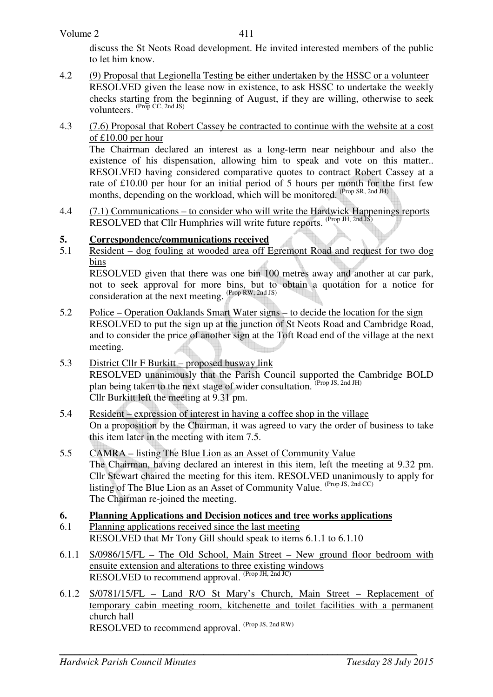discuss the St Neots Road development. He invited interested members of the public to let him know.

- 4.2 (9) Proposal that Legionella Testing be either undertaken by the HSSC or a volunteer RESOLVED given the lease now in existence, to ask HSSC to undertake the weekly checks starting from the beginning of August, if they are willing, otherwise to seek volunteers.  $(\text{Prop CC}, 2nd JS)$
- 4.3 (7.6) Proposal that Robert Cassey be contracted to continue with the website at a cost of £10.00 per hour

The Chairman declared an interest as a long-term near neighbour and also the existence of his dispensation, allowing him to speak and vote on this matter.. RESOLVED having considered comparative quotes to contract Robert Cassey at a rate of £10.00 per hour for an initial period of 5 hours per month for the first few months, depending on the workload, which will be monitored. (Prop SR, 2nd JH)

4.4 (7.1) Communications – to consider who will write the Hardwick Happenings reports RESOLVED that Cllr Humphries will write future reports. (Prop JH, 2nd JS)

# **5.** Correspondence/communications received<br>5.1 Resident – dog fouling at wooded area off F

5.1 Resident – dog fouling at wooded area off Egremont Road and request for two dog bins

 RESOLVED given that there was one bin 100 metres away and another at car park, not to seek approval for more bins, but to obtain a quotation for a notice for consideration at the next meeting. (Prop RW, 2nd JS)

- 5.2 Police Operation Oaklands Smart Water signs to decide the location for the sign RESOLVED to put the sign up at the junction of St Neots Road and Cambridge Road, and to consider the price of another sign at the Toft Road end of the village at the next meeting.
- 5.3 District Cllr F Burkitt proposed busway link RESOLVED unanimously that the Parish Council supported the Cambridge BOLD plan being taken to the next stage of wider consultation. (Prop JS, 2nd JH) Cllr Burkitt left the meeting at 9.31 pm.
- 5.4 Resident expression of interest in having a coffee shop in the village On a proposition by the Chairman, it was agreed to vary the order of business to take this item later in the meeting with item 7.5.
- 5.5 CAMRA listing The Blue Lion as an Asset of Community Value The Chairman, having declared an interest in this item, left the meeting at 9.32 pm. Cllr Stewart chaired the meeting for this item. RESOLVED unanimously to apply for listing of The Blue Lion as an Asset of Community Value.  $(\text{Prop 1S, 2nd CC})$ The Chairman re-joined the meeting.

### **6. Planning Applications and Decision notices and tree works applications**

- 6.1 Planning applications received since the last meeting RESOLVED that Mr Tony Gill should speak to items 6.1.1 to 6.1.10
- 6.1.1 S/0986/15/FL The Old School, Main Street New ground floor bedroom with ensuite extension and alterations to three existing windows RESOLVED to recommend approval. (Prop JH, 2nd JC)
- 6.1.2 S/0781/15/FL Land R/O St Mary's Church, Main Street Replacement of temporary cabin meeting room, kitchenette and toilet facilities with a permanent church hall RESOLVED to recommend approval.  $(Prop JS, 2nd RW)$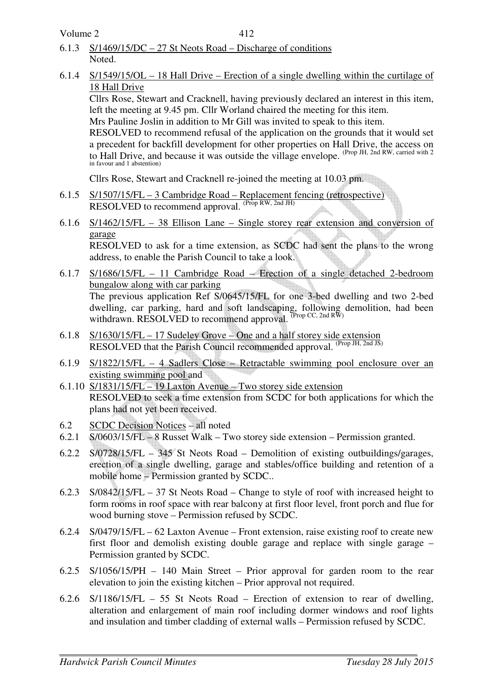Volume 2

- 6.1.3 S/1469/15/DC 27 St Neots Road Discharge of conditions Noted.
- 6.1.4 S/1549/15/OL 18 Hall Drive Erection of a single dwelling within the curtilage of 18 Hall Drive

Cllrs Rose, Stewart and Cracknell, having previously declared an interest in this item, left the meeting at 9.45 pm. Cllr Worland chaired the meeting for this item.

Mrs Pauline Joslin in addition to Mr Gill was invited to speak to this item.

 RESOLVED to recommend refusal of the application on the grounds that it would set a precedent for backfill development for other properties on Hall Drive, the access on to Hall Drive, and because it was outside the village envelope. <sup>(Prop JH, 2nd RW, carried with 2</sup> in favour and 1 abstention)

Cllrs Rose, Stewart and Cracknell re-joined the meeting at 10.03 pm.

- 6.1.5 S/1507/15/FL 3 Cambridge Road Replacement fencing (retrospective) RESOLVED to recommend approval. (Prop RW, 2nd JH)
- 6.1.6 S/1462/15/FL 38 Ellison Lane Single storey rear extension and conversion of garage RESOLVED to ask for a time extension, as SCDC had sent the plans to the wrong address, to enable the Parish Council to take a look.
- 6.1.7 S/1686/15/FL 11 Cambridge Road Erection of a single detached 2-bedroom bungalow along with car parking The previous application Ref S/0645/15/FL for one 3-bed dwelling and two 2-bed dwelling, car parking, hard and soft landscaping, following demolition, had been withdrawn. RESOLVED to recommend approval. (Prop CC, 2nd RW)
- 6.1.8 S/1630/15/FL 17 Sudeley Grove One and a half storey side extension RESOLVED that the Parish Council recommended approval. (Prop JH, 2nd JS)
- 6.1.9 S/1822/15/FL 4 Sadlers Close Retractable swimming pool enclosure over an existing swimming pool and
- 6.1.10 S/1831/15/FL 19 Laxton Avenue Two storey side extension RESOLVED to seek a time extension from SCDC for both applications for which the plans had not yet been received.
- 6.2 SCDC Decision Notices all noted<br>6.2.1 S/0603/15/FL 8 Russet Walk Tv
- $S/0603/15/FL 8$  Russet Walk Two storey side extension Permission granted.
- 6.2.2 S/0728/15/FL 345 St Neots Road Demolition of existing outbuildings/garages, erection of a single dwelling, garage and stables/office building and retention of a mobile home – Permission granted by SCDC..
- 6.2.3 S/0842/15/FL 37 St Neots Road Change to style of roof with increased height to form rooms in roof space with rear balcony at first floor level, front porch and flue for wood burning stove – Permission refused by SCDC.
- 6.2.4 S/0479/15/FL 62 Laxton Avenue Front extension, raise existing roof to create new first floor and demolish existing double garage and replace with single garage – Permission granted by SCDC.
- 6.2.5 S/1056/15/PH 140 Main Street Prior approval for garden room to the rear elevation to join the existing kitchen – Prior approval not required.
- 6.2.6 S/1186/15/FL 55 St Neots Road Erection of extension to rear of dwelling, alteration and enlargement of main roof including dormer windows and roof lights and insulation and timber cladding of external walls – Permission refused by SCDC.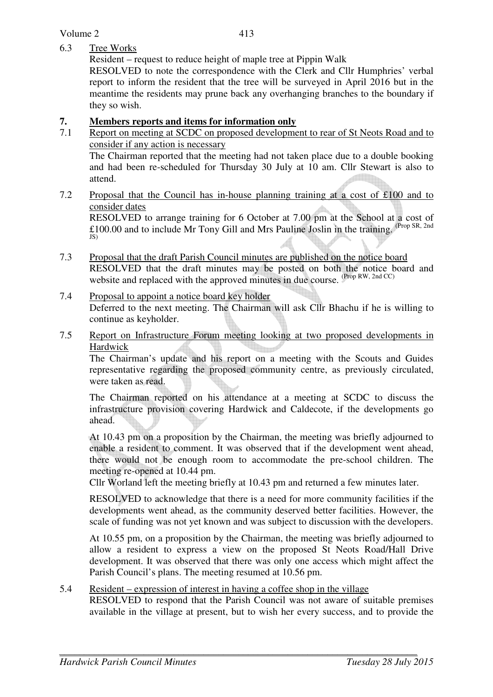Volume 2

#### 6.3 Tree Works

Resident – request to reduce height of maple tree at Pippin Walk

 RESOLVED to note the correspondence with the Clerk and Cllr Humphries' verbal report to inform the resident that the tree will be surveyed in April 2016 but in the meantime the residents may prune back any overhanging branches to the boundary if they so wish.

# **7. Members reports and items for information only**<br>**7.1** Report on meeting at SCDC on proposed development

- Report on meeting at SCDC on proposed development to rear of St Neots Road and to consider if any action is necessary The Chairman reported that the meeting had not taken place due to a double booking and had been re-scheduled for Thursday 30 July at 10 am. Cllr Stewart is also to attend.
- 7.2 Proposal that the Council has in-house planning training at a cost of £100 and to consider dates RESOLVED to arrange training for 6 October at 7.00 pm at the School at a cost of

£100.00 and to include Mr Tony Gill and Mrs Pauline Joslin in the training. <sup>(Prop SR, 2nd</sup> IS)

- 7.3 Proposal that the draft Parish Council minutes are published on the notice board RESOLVED that the draft minutes may be posted on both the notice board and website and replaced with the approved minutes in due course. <sup>(Prop RW, 2nd CC)</sup>
- 7.4 Proposal to appoint a notice board key holder Deferred to the next meeting. The Chairman will ask Cllr Bhachu if he is willing to continue as keyholder.
- 7.5 Report on Infrastructure Forum meeting looking at two proposed developments in Hardwick

 The Chairman's update and his report on a meeting with the Scouts and Guides representative regarding the proposed community centre, as previously circulated, were taken as read.

The Chairman reported on his attendance at a meeting at SCDC to discuss the infrastructure provision covering Hardwick and Caldecote, if the developments go ahead.

 At 10.43 pm on a proposition by the Chairman, the meeting was briefly adjourned to enable a resident to comment. It was observed that if the development went ahead, there would not be enough room to accommodate the pre-school children. The meeting re-opened at 10.44 pm.

Cllr Worland left the meeting briefly at 10.43 pm and returned a few minutes later.

 RESOLVED to acknowledge that there is a need for more community facilities if the developments went ahead, as the community deserved better facilities. However, the scale of funding was not yet known and was subject to discussion with the developers.

 At 10.55 pm, on a proposition by the Chairman, the meeting was briefly adjourned to allow a resident to express a view on the proposed St Neots Road/Hall Drive development. It was observed that there was only one access which might affect the Parish Council's plans. The meeting resumed at 10.56 pm.

### 5.4 Resident – expression of interest in having a coffee shop in the village

 RESOLVED to respond that the Parish Council was not aware of suitable premises available in the village at present, but to wish her every success, and to provide the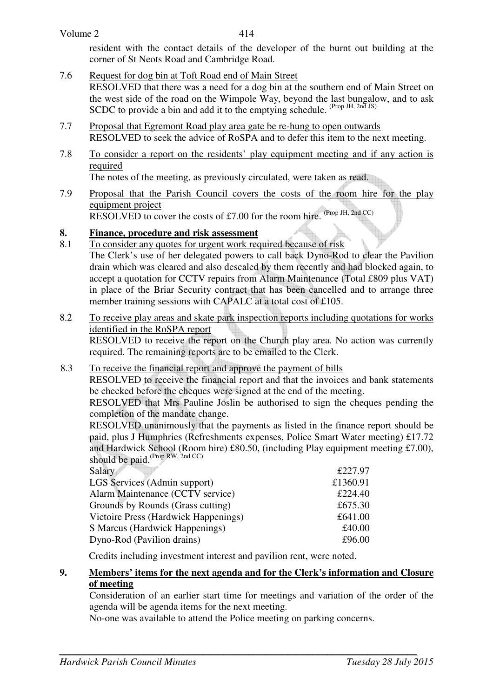resident with the contact details of the developer of the burnt out building at the corner of St Neots Road and Cambridge Road.

- 7.6 Request for dog bin at Toft Road end of Main Street RESOLVED that there was a need for a dog bin at the southern end of Main Street on the west side of the road on the Wimpole Way, beyond the last bungalow, and to ask SCDC to provide a bin and add it to the emptying schedule. (Prop JH, 2nd JS)
- 7.7 Proposal that Egremont Road play area gate be re-hung to open outwards RESOLVED to seek the advice of RoSPA and to defer this item to the next meeting.
- 7.8 To consider a report on the residents' play equipment meeting and if any action is required

The notes of the meeting, as previously circulated, were taken as read.

7.9 Proposal that the Parish Council covers the costs of the room hire for the play equipment project RESOLVED to cover the costs of £7.00 for the room hire. (Prop JH, 2nd CC)

## **8. Finance, procedure and risk assessment**

- 8.1 To consider any quotes for urgent work required because of risk The Clerk's use of her delegated powers to call back Dyno-Rod to clear the Pavilion drain which was cleared and also descaled by them recently and had blocked again, to accept a quotation for CCTV repairs from Alarm Maintenance (Total £809 plus VAT) in place of the Briar Security contract that has been cancelled and to arrange three member training sessions with CAPALC at a total cost of £105.
- 8.2 To receive play areas and skate park inspection reports including quotations for works identified in the RoSPA report RESOLVED to receive the report on the Church play area. No action was currently required. The remaining reports are to be emailed to the Clerk.

## 8.3 To receive the financial report and approve the payment of bills

RESOLVED to receive the financial report and that the invoices and bank statements be checked before the cheques were signed at the end of the meeting.

RESOLVED that Mrs Pauline Joslin be authorised to sign the cheques pending the completion of the mandate change.

RESOLVED unanimously that the payments as listed in the finance report should be paid, plus J Humphries (Refreshments expenses, Police Smart Water meeting) £17.72 and Hardwick School (Room hire) £80.50, (including Play equipment meeting £7.00), should be paid.<sup>(Prop RW, 2nd CC)</sup>

| £227.97  |
|----------|
| £1360.91 |
| £224.40  |
| £675.30  |
| £641.00  |
| £40.00   |
| £96.00   |
|          |

Credits including investment interest and pavilion rent, were noted.

#### **9. Members' items for the next agenda and for the Clerk's information and Closure of meeting**

Consideration of an earlier start time for meetings and variation of the order of the agenda will be agenda items for the next meeting.

No-one was available to attend the Police meeting on parking concerns.